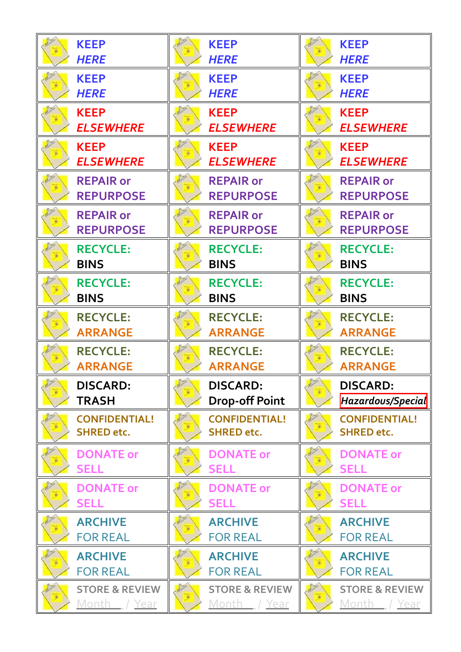| <b>KEEP</b>               | <b>KEEP</b>               | <b>KEEP</b>               |
|---------------------------|---------------------------|---------------------------|
| <b>HERE</b>               | <b>HERE</b>               | <b>HERE</b>               |
| <b>KEEP</b>               | <b>KEEP</b>               | <b>KEEP</b>               |
| <b>HERE</b>               | <b>HERE</b>               | <b>HERE</b>               |
| <b>KEEP</b>               | <b>KEEP</b>               | <b>KEEP</b>               |
| <b>ELSEWHERE</b>          | <b>ELSEWHERE</b>          | <b>ELSEWHERE</b>          |
| <b>KEEP</b>               | <b>KEEP</b>               | <b>KEEP</b>               |
| <b>ELSEWHERE</b>          | <b>ELSEWHERE</b>          | <b>ELSEWHERE</b>          |
| <b>REPAIR or</b>          | <b>REPAIR or</b>          | <b>REPAIR or</b>          |
| <b>REPURPOSE</b>          | <b>REPURPOSE</b>          | <b>REPURPOSE</b>          |
| <b>REPAIR or</b>          | <b>REPAIR or</b>          | <b>REPAIR or</b>          |
| <b>REPURPOSE</b>          | <b>REPURPOSE</b>          | <b>REPURPOSE</b>          |
| <b>RECYCLE:</b>           | <b>RECYCLE:</b>           | <b>RECYCLE:</b>           |
| <b>BINS</b>               | <b>BINS</b>               | <b>BINS</b>               |
| <b>RECYCLE:</b>           | <b>RECYCLE:</b>           | <b>RECYCLE:</b>           |
| <b>BINS</b>               | <b>BINS</b>               | <b>BINS</b>               |
| <b>RECYCLE:</b>           | <b>RECYCLE:</b>           | <b>RECYCLE:</b>           |
| <b>ARRANGE</b>            | <b>ARRANGE</b>            | <b>ARRANGE</b>            |
| <b>RECYCLE:</b>           | <b>RECYCLE:</b>           | <b>RECYCLE:</b>           |
| <b>ARRANGE</b>            | <b>ARRANGE</b>            | <b>ARRANGE</b>            |
| <b>DISCARD:</b>           | <b>DISCARD:</b>           | <b>DISCARD:</b>           |
| <b>TRASH</b>              | <b>Drop-off Point</b>     | Hazardous/Special         |
| <b>CONFIDENTIAL!</b>      | <b>CONFIDENTIAL!</b>      | <b>CONFIDENTIAL!</b>      |
| <b>SHRED etc.</b>         | <b>SHRED etc.</b>         | <b>SHRED etc.</b>         |
| <b>DONATE or</b>          | <b>DONATE or</b>          | <b>DONATE or</b>          |
| <b>SELL</b>               | <b>SELL</b>               | <b>SELL</b>               |
| <b>DONATE or</b>          | <b>DONATE or</b>          | <b>DONATE or</b>          |
| <b>SELL</b>               | <b>SELL</b>               | <b>SELL</b>               |
| <b>ARCHIVE</b>            | <b>ARCHIVE</b>            | <b>ARCHIVE</b>            |
| <b>FOR REAL</b>           | <b>FOR REAL</b>           | <b>FOR REAL</b>           |
| <b>ARCHIVE</b>            | <b>ARCHIVE</b>            | <b>ARCHIVE</b>            |
| <b>FOR REAL</b>           | <b>FOR REAL</b>           | <b>FOR REAL</b>           |
| <b>STORE &amp; REVIEW</b> | <b>STORE &amp; REVIEW</b> | <b>STORE &amp; REVIEW</b> |
| <u>Month / Year</u>       | <u>Month / Year</u>       | <u>Month / Year</u>       |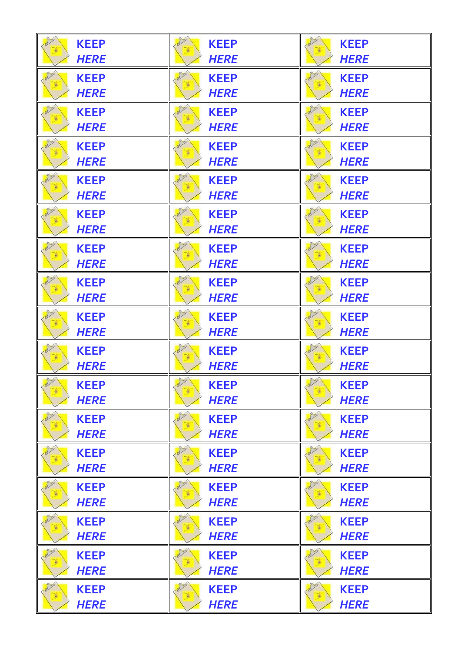| <b>KEEP</b> | <b>KEEP</b> | <b>KEEP</b> |
|-------------|-------------|-------------|
| <b>HERE</b> | <b>HERE</b> | <b>HERE</b> |
| <b>KEEP</b> | <b>KEEP</b> | <b>KEEP</b> |
| <b>HERE</b> | <b>HERE</b> | <b>HERE</b> |
| <b>KEEP</b> | <b>KEEP</b> | <b>KEEP</b> |
| <b>HERE</b> | <b>HERE</b> | <b>HERE</b> |
| <b>KEEP</b> | <b>KEEP</b> | <b>KEEP</b> |
| <b>HERE</b> | <b>HERE</b> | <b>HERE</b> |
| <b>KEEP</b> | <b>KEEP</b> | <b>KEEP</b> |
| <b>HERE</b> | <b>HERE</b> | <b>HERE</b> |
| <b>KEEP</b> | <b>KEEP</b> | <b>KEEP</b> |
| <b>HERE</b> | <b>HERE</b> | <b>HERE</b> |
| <b>KEEP</b> | <b>KEEP</b> | <b>KEEP</b> |
| <b>HERE</b> | <b>HERE</b> | <b>HERE</b> |
| <b>KEEP</b> | <b>KEEP</b> | <b>KEEP</b> |
| <b>HERE</b> | <b>HERE</b> | <b>HERE</b> |
| <b>KEEP</b> | <b>KEEP</b> | <b>KEEP</b> |
| <b>HERE</b> | <b>HERE</b> | <b>HERE</b> |
| <b>KEEP</b> | <b>KEEP</b> | <b>KEEP</b> |
| <b>HERE</b> | <b>HERE</b> | <b>HERE</b> |
| <b>KEEP</b> | <b>KEEP</b> | <b>KEEP</b> |
| <b>HERE</b> | <b>HERE</b> | <b>HERE</b> |
| <b>KEEP</b> | <b>KEEP</b> | <b>KEEP</b> |
| <b>HERE</b> | <b>HERE</b> | <b>HERE</b> |
| <b>KEEP</b> | <b>KEEP</b> | <b>KEEP</b> |
| <b>HERE</b> | <b>HERE</b> | <b>HERE</b> |
| <b>KEEP</b> | <b>KEEP</b> | <b>KEEP</b> |
| <b>HERE</b> | <b>HERE</b> | <b>HERE</b> |
| <b>KEEP</b> | <b>KEEP</b> | <b>KEEP</b> |
| <b>HERE</b> | <b>HERE</b> | <b>HERE</b> |
| <b>KEEP</b> | <b>KEEP</b> | <b>KEEP</b> |
| <b>HERE</b> | <b>HERE</b> | <b>HERE</b> |
| <b>KEEP</b> | <b>KEEP</b> | <b>KEEP</b> |
| <b>HERE</b> | <b>HERE</b> | <b>HERE</b> |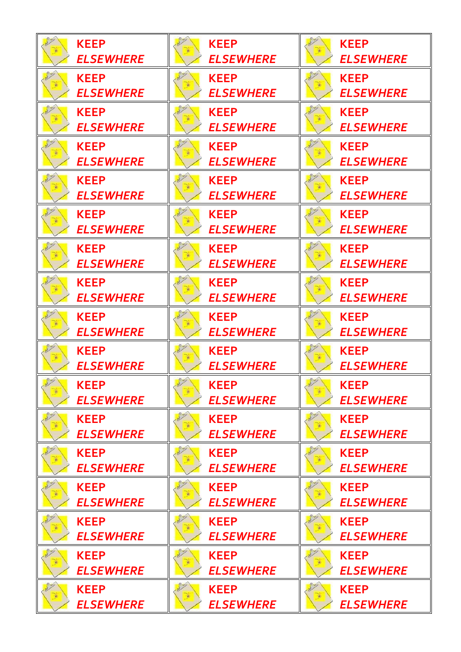| <b>KEEP</b>      | <b>KEEP</b>      | <b>KEEP</b>      |
|------------------|------------------|------------------|
| <b>ELSEWHERE</b> | <b>ELSEWHERE</b> | <b>ELSEWHERE</b> |
| <b>KEEP</b>      | <b>KEEP</b>      | <b>KEEP</b>      |
| <b>ELSEWHERE</b> | <b>ELSEWHERE</b> | <b>ELSEWHERE</b> |
| <b>KEEP</b>      | <b>KEEP</b>      | <b>KEEP</b>      |
| <b>ELSEWHERE</b> | <b>ELSEWHERE</b> | <b>ELSEWHERE</b> |
| <b>KEEP</b>      | <b>KEEP</b>      | <b>KEEP</b>      |
| <b>ELSEWHERE</b> | <b>ELSEWHERE</b> | <b>ELSEWHERE</b> |
| <b>KEEP</b>      | <b>KEEP</b>      | <b>KEEP</b>      |
| <b>ELSEWHERE</b> | <b>ELSEWHERE</b> | <b>ELSEWHERE</b> |
| <b>KEEP</b>      | <b>KEEP</b>      | <b>KEEP</b>      |
| <b>ELSEWHERE</b> | <b>ELSEWHERE</b> | <b>ELSEWHERE</b> |
| <b>KEEP</b>      | <b>KEEP</b>      | <b>KEEP</b>      |
| <b>ELSEWHERE</b> | <b>ELSEWHERE</b> | <b>ELSEWHERE</b> |
| <b>KEEP</b>      | <b>KEEP</b>      | <b>KEEP</b>      |
| <b>ELSEWHERE</b> | <b>ELSEWHERE</b> | <b>ELSEWHERE</b> |
| <b>KEEP</b>      | <b>KEEP</b>      | <b>KEEP</b>      |
| <b>ELSEWHERE</b> | <b>ELSEWHERE</b> | <b>ELSEWHERE</b> |
| <b>KEEP</b>      | <b>KEEP</b>      | <b>KEEP</b>      |
| <b>ELSEWHERE</b> | <b>ELSEWHERE</b> | <b>ELSEWHERE</b> |
| <b>KEEP</b>      | <b>KEEP</b>      | <b>KEEP</b>      |
| <b>ELSEWHERE</b> | <b>ELSEWHERE</b> | <b>ELSEWHERE</b> |
| <b>KEEP</b>      | <b>KEEP</b>      | <b>KEEP</b>      |
| <b>ELSEWHERE</b> | <b>ELSEWHERE</b> | <b>ELSEWHERE</b> |
| <b>KEEP</b>      | <b>KEEP</b>      | <b>KEEP</b>      |
| <b>ELSEWHERE</b> | <b>ELSEWHERE</b> | <b>ELSEWHERE</b> |
| <b>KEEP</b>      | <b>KEEP</b>      | <b>KEEP</b>      |
| <b>ELSEWHERE</b> | <b>ELSEWHERE</b> | <b>ELSEWHERE</b> |
| <b>KEEP</b>      | <b>KEEP</b>      | <b>KEEP</b>      |
| <b>ELSEWHERE</b> | <b>ELSEWHERE</b> | <b>ELSEWHERE</b> |
| <b>KEEP</b>      | <b>KEEP</b>      | <b>KEEP</b>      |
| <b>ELSEWHERE</b> | <b>ELSEWHERE</b> | <b>ELSEWHERE</b> |
| <b>KEEP</b>      | <b>KEEP</b>      | <b>KEEP</b>      |
| <b>ELSEWHERE</b> | <b>ELSEWHERE</b> | <b>ELSEWHERE</b> |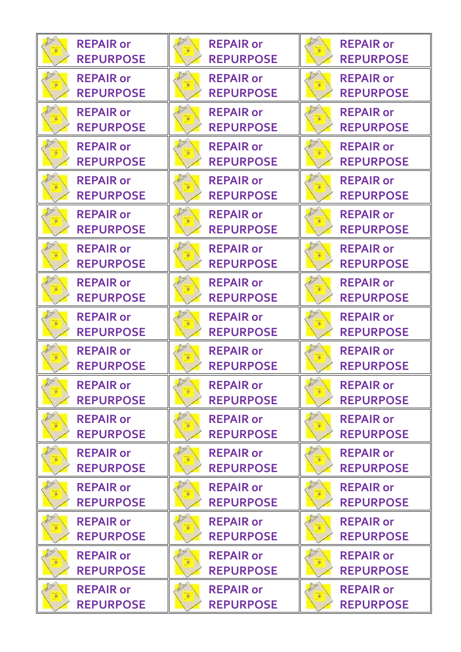| <b>REPAIR or</b> | <b>REPAIR or</b> | <b>REPAIR or</b> |
|------------------|------------------|------------------|
| <b>REPURPOSE</b> | <b>REPURPOSE</b> | <b>REPURPOSE</b> |
| <b>REPAIR or</b> | <b>REPAIR or</b> | <b>REPAIR or</b> |
| <b>REPURPOSE</b> | <b>REPURPOSE</b> | <b>REPURPOSE</b> |
| <b>REPAIR or</b> | <b>REPAIR or</b> | <b>REPAIR or</b> |
| <b>REPURPOSE</b> | <b>REPURPOSE</b> | <b>REPURPOSE</b> |
| <b>REPAIR or</b> | <b>REPAIR or</b> | <b>REPAIR or</b> |
| <b>REPURPOSE</b> | <b>REPURPOSE</b> | <b>REPURPOSE</b> |
| <b>REPAIR or</b> | <b>REPAIR or</b> | <b>REPAIR or</b> |
| <b>REPURPOSE</b> | <b>REPURPOSE</b> | <b>REPURPOSE</b> |
| <b>REPAIR or</b> | <b>REPAIR or</b> | <b>REPAIR or</b> |
| <b>REPURPOSE</b> | <b>REPURPOSE</b> | <b>REPURPOSE</b> |
| <b>REPAIR or</b> | <b>REPAIR or</b> | <b>REPAIR or</b> |
| <b>REPURPOSE</b> | <b>REPURPOSE</b> | <b>REPURPOSE</b> |
| <b>REPAIR or</b> | <b>REPAIR or</b> | <b>REPAIR or</b> |
| <b>REPURPOSE</b> | <b>REPURPOSE</b> | <b>REPURPOSE</b> |
| <b>REPAIR or</b> | <b>REPAIR or</b> | <b>REPAIR or</b> |
| <b>REPURPOSE</b> | <b>REPURPOSE</b> | <b>REPURPOSE</b> |
| <b>REPAIR or</b> | <b>REPAIR or</b> | <b>REPAIR or</b> |
| <b>REPURPOSE</b> | <b>REPURPOSE</b> | <b>REPURPOSE</b> |
| <b>REPAIR or</b> | <b>REPAIR or</b> | <b>REPAIR or</b> |
| <b>REPURPOSE</b> | <b>REPURPOSE</b> | <b>REPURPOSE</b> |
| <b>REPAIR or</b> | <b>REPAIR or</b> | <b>REPAIR or</b> |
| <b>REPURPOSE</b> | <b>REPURPOSE</b> | <b>REPURPOSE</b> |
| <b>REPAIR or</b> | <b>REPAIR or</b> | <b>REPAIR or</b> |
| <b>REPURPOSE</b> | <b>REPURPOSE</b> | <b>REPURPOSE</b> |
| <b>REPAIR or</b> | <b>REPAIR or</b> | <b>REPAIR or</b> |
| <b>REPURPOSE</b> | <b>REPURPOSE</b> | <b>REPURPOSE</b> |
| <b>REPAIR or</b> | <b>REPAIR or</b> | <b>REPAIR or</b> |
| <b>REPURPOSE</b> | <b>REPURPOSE</b> | <b>REPURPOSE</b> |
| <b>REPAIR or</b> | <b>REPAIR or</b> | <b>REPAIR or</b> |
| <b>REPURPOSE</b> | <b>REPURPOSE</b> | <b>REPURPOSE</b> |
| <b>REPAIR or</b> | <b>REPAIR or</b> | <b>REPAIR or</b> |
| <b>REPURPOSE</b> | <b>REPURPOSE</b> | <b>REPURPOSE</b> |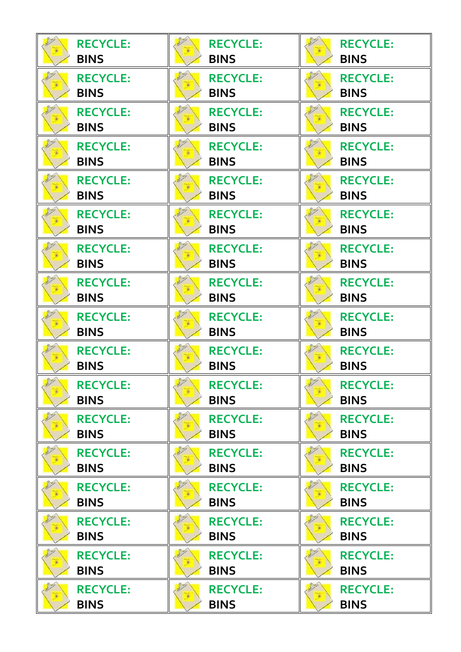| <b>RECYCLE:</b>                | <b>RECYCLE:</b>                              | <b>RECYCLE:</b>                        |
|--------------------------------|----------------------------------------------|----------------------------------------|
| <b>BINS</b>                    | <b>BINS</b>                                  | <b>BINS</b>                            |
| <b>RECYCLE:</b>                | <b>RECYCLE:</b>                              | <b>RECYCLE:</b>                        |
| <b>BINS</b>                    | <b>BINS</b>                                  | <b>BINS</b>                            |
| <b>RECYCLE:</b>                | <b>RECYCLE:</b>                              | <b>RECYCLE:</b>                        |
| <b>BINS</b>                    | <b>BINS</b>                                  | <b>BINS</b>                            |
| <b>RECYCLE:</b>                | <b>RECYCLE:</b>                              | <b>RECYCLE:</b>                        |
| <b>BINS</b>                    | <b>BINS</b>                                  | <b>BINS</b>                            |
| <b>RECYCLE:</b>                | <b>RECYCLE:</b>                              | <b>RECYCLE:</b>                        |
| <b>BINS</b>                    | <b>BINS</b>                                  | <b>BINS</b>                            |
| <b>RECYCLE:</b>                | <b>RECYCLE:</b>                              | <b>RECYCLE:</b>                        |
| <b>BINS</b>                    | <b>BINS</b>                                  | <b>BINS</b>                            |
| <b>RECYCLE:</b>                | <b>RECYCLE:</b>                              | <b>RECYCLE:</b>                        |
| <b>BINS</b>                    | <b>BINS</b>                                  | <b>BINS</b>                            |
| <b>RECYCLE:</b>                | <b>RECYCLE:</b>                              | <b>RECYCLE:</b>                        |
| <b>BINS</b>                    | <b>BINS</b>                                  | <b>BINS</b>                            |
| <b>RECYCLE:</b>                | <b>RECYCLE:</b>                              | <b>RECYCLE:</b>                        |
| <b>BINS</b>                    | <b>BINS</b>                                  | <b>BINS</b>                            |
| <b>RECYCLE:</b>                | <b>RECYCLE:</b>                              | <b>RECYCLE:</b>                        |
| <b>BINS</b>                    | <b>BINS</b>                                  | <b>BINS</b>                            |
| <b>RECYCLE:</b><br><b>BINS</b> | <b>Cup</b><br><b>RECYCLE:</b><br><b>BINS</b> | Pres<br><b>RECYCLE:</b><br><b>BINS</b> |
| <b>RECYCLE:</b>                | <b>RECYCLE:</b>                              | <b>RECYCLE:</b>                        |
| <b>BINS</b>                    | <b>BINS</b>                                  | <b>BINS</b>                            |
| <b>RECYCLE:</b>                | <b>RECYCLE:</b>                              | <b>RECYCLE:</b>                        |
| <b>BINS</b>                    | <b>BINS</b>                                  | <b>BINS</b>                            |
| <b>RECYCLE:</b>                | <b>RECYCLE:</b>                              | <b>RECYCLE:</b>                        |
| <b>BINS</b>                    | <b>BINS</b>                                  | <b>BINS</b>                            |
| <b>RECYCLE:</b>                | <b>RECYCLE:</b>                              | <b>RECYCLE:</b>                        |
| <b>BINS</b>                    | <b>BINS</b>                                  | <b>BINS</b>                            |
| <b>RECYCLE:</b>                | <b>RECYCLE:</b>                              | <b>RECYCLE:</b>                        |
| <b>BINS</b>                    | <b>BINS</b>                                  | <b>BINS</b>                            |
| <b>RECYCLE:</b>                | <b>RECYCLE:</b>                              | <b>RECYCLE:</b>                        |
| <b>BINS</b>                    | <b>BINS</b>                                  | <b>BINS</b>                            |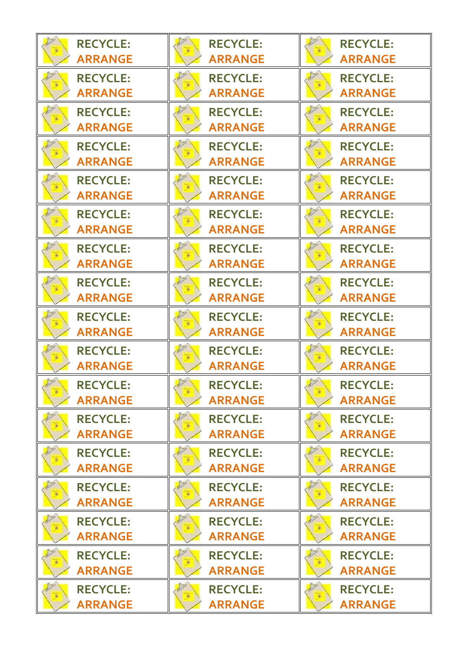| <b>RECYCLE:</b>                   | <b>RECYCLE:</b>                          | <b>RECYCLE:</b>                          |
|-----------------------------------|------------------------------------------|------------------------------------------|
| <b>ARRANGE</b>                    | <b>ARRANGE</b>                           | <b>ARRANGE</b>                           |
| <b>RECYCLE:</b>                   | <b>RECYCLE:</b>                          | <b>RECYCLE:</b>                          |
| <b>ARRANGE</b>                    | <b>ARRANGE</b>                           | <b>ARRANGE</b>                           |
| <b>RECYCLE:</b>                   | <b>RECYCLE:</b>                          | <b>RECYCLE:</b>                          |
| <b>ARRANGE</b>                    | <b>ARRANGE</b>                           | <b>ARRANGE</b>                           |
| <b>RECYCLE:</b>                   | <b>RECYCLE:</b>                          | <b>RECYCLE:</b>                          |
| <b>ARRANGE</b>                    | <b>ARRANGE</b>                           | <b>ARRANGE</b>                           |
| <b>RECYCLE:</b>                   | <b>RECYCLE:</b>                          | <b>RECYCLE:</b>                          |
| <b>ARRANGE</b>                    | <b>ARRANGE</b>                           | <b>ARRANGE</b>                           |
| <b>RECYCLE:</b>                   | <b>RECYCLE:</b>                          | <b>RECYCLE:</b>                          |
| <b>ARRANGE</b>                    | <b>ARRANGE</b>                           | <b>ARRANGE</b>                           |
| <b>RECYCLE:</b>                   | <b>RECYCLE:</b>                          | <b>RECYCLE:</b>                          |
| <b>ARRANGE</b>                    | <b>ARRANGE</b>                           | <b>ARRANGE</b>                           |
| <b>RECYCLE:</b>                   | <b>RECYCLE:</b>                          | <b>RECYCLE:</b>                          |
| <b>ARRANGE</b>                    | <b>ARRANGE</b>                           | <b>ARRANGE</b>                           |
| <b>RECYCLE:</b>                   | <b>RECYCLE:</b>                          | <b>RECYCLE:</b>                          |
| <b>ARRANGE</b>                    | <b>ARRANGE</b>                           | <b>ARRANGE</b>                           |
| <b>RECYCLE:</b>                   | <b>RECYCLE:</b>                          | <b>RECYCLE:</b>                          |
| <b>ARRANGE</b>                    | <b>ARRANGE</b>                           | <b>ARRANGE</b>                           |
| <b>RECYCLE:</b><br><b>ARRANGE</b> | Fug<br><b>RECYCLE:</b><br><b>ARRANGE</b> | Pus<br><b>RECYCLE:</b><br><b>ARRANGE</b> |
| <b>RECYCLE:</b>                   | <b>RECYCLE:</b>                          | <b>RECYCLE:</b>                          |
| <b>ARRANGE</b>                    | <b>ARRANGE</b>                           | <b>ARRANGE</b>                           |
| <b>RECYCLE:</b>                   | <b>RECYCLE:</b>                          | <b>RECYCLE:</b>                          |
| <b>ARRANGE</b>                    | <b>ARRANGE</b>                           | <b>ARRANGE</b>                           |
| <b>RECYCLE:</b>                   | <b>RECYCLE:</b>                          | <b>RECYCLE:</b>                          |
| <b>ARRANGE</b>                    | <b>ARRANGE</b>                           | <b>ARRANGE</b>                           |
| <b>RECYCLE:</b>                   | <b>RECYCLE:</b>                          | <b>RECYCLE:</b>                          |
| <b>ARRANGE</b>                    | <b>ARRANGE</b>                           | <b>ARRANGE</b>                           |
| <b>RECYCLE:</b>                   | <b>RECYCLE:</b>                          | <b>RECYCLE:</b>                          |
| <b>ARRANGE</b>                    | <b>ARRANGE</b>                           | <b>ARRANGE</b>                           |
| <b>RECYCLE:</b>                   | <b>RECYCLE:</b>                          | <b>RECYCLE:</b>                          |
| <b>ARRANGE</b>                    | <b>ARRANGE</b>                           | <b>ARRANGE</b>                           |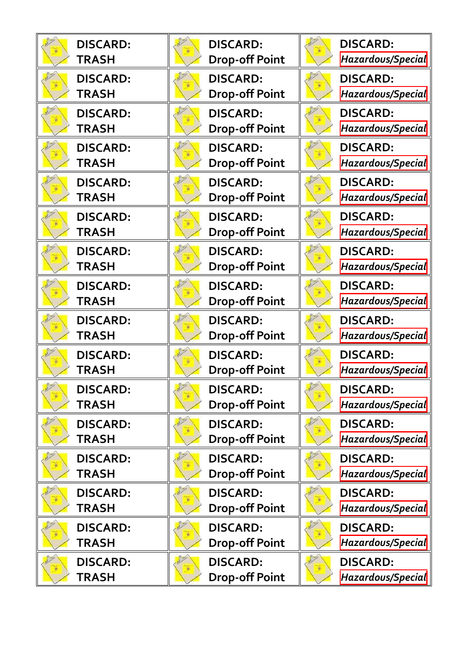| <b>DISCARD:</b> | <b>DISCARD:</b>       | <b>DISCARD:</b>   |
|-----------------|-----------------------|-------------------|
| <b>TRASH</b>    | <b>Drop-off Point</b> | Hazardous/Special |
| <b>DISCARD:</b> | <b>DISCARD:</b>       | <b>DISCARD:</b>   |
| <b>TRASH</b>    | <b>Drop-off Point</b> | Hazardous/Special |
| <b>DISCARD:</b> | <b>DISCARD:</b>       | <b>DISCARD:</b>   |
| <b>TRASH</b>    | <b>Drop-off Point</b> | Hazardous/Special |
| <b>DISCARD:</b> | <b>DISCARD:</b>       | <b>DISCARD:</b>   |
| <b>TRASH</b>    | <b>Drop-off Point</b> | Hazardous/Special |
| <b>DISCARD:</b> | <b>DISCARD:</b>       | <b>DISCARD:</b>   |
| <b>TRASH</b>    | <b>Drop-off Point</b> | Hazardous/Special |
| <b>DISCARD:</b> | <b>DISCARD:</b>       | <b>DISCARD:</b>   |
| <b>TRASH</b>    | <b>Drop-off Point</b> | Hazardous/Special |
| <b>DISCARD:</b> | <b>DISCARD:</b>       | <b>DISCARD:</b>   |
| <b>TRASH</b>    | <b>Drop-off Point</b> | Hazardous/Special |
| <b>DISCARD:</b> | <b>DISCARD:</b>       | <b>DISCARD:</b>   |
| <b>TRASH</b>    | <b>Drop-off Point</b> | Hazardous/Special |
| <b>DISCARD:</b> | <b>DISCARD:</b>       | <b>DISCARD:</b>   |
| <b>TRASH</b>    | <b>Drop-off Point</b> | Hazardous/Special |
| <b>DISCARD:</b> | <b>DISCARD:</b>       | <b>DISCARD:</b>   |
| <b>TRASH</b>    | <b>Drop-off Point</b> | Hazardous/Special |
| <b>DISCARD:</b> | <b>DISCARD:</b>       | <b>DISCARD:</b>   |
| <b>TRASH</b>    | <b>Drop-off Point</b> | Hazardous/Special |
| <b>DISCARD:</b> | <b>DISCARD:</b>       | <b>DISCARD:</b>   |
| <b>TRASH</b>    | <b>Drop-off Point</b> | Hazardous/Special |
| <b>DISCARD:</b> | <b>DISCARD:</b>       | <b>DISCARD:</b>   |
| <b>TRASH</b>    | <b>Drop-off Point</b> | Hazardous/Special |
| <b>DISCARD:</b> | <b>DISCARD:</b>       | <b>DISCARD:</b>   |
| <b>TRASH</b>    | <b>Drop-off Point</b> | Hazardous/Special |
| <b>DISCARD:</b> | <b>DISCARD:</b>       | <b>DISCARD:</b>   |
| <b>TRASH</b>    | <b>Drop-off Point</b> | Hazardous/Special |
| <b>DISCARD:</b> | <b>DISCARD:</b>       | <b>DISCARD:</b>   |
| <b>TRASH</b>    | <b>Drop-off Point</b> | Hazardous/Special |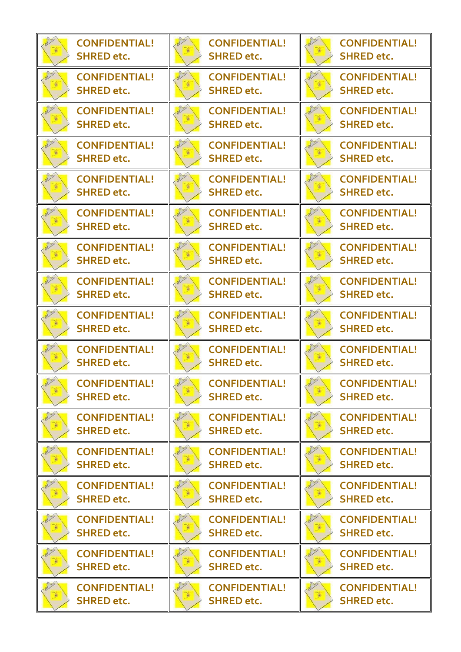| <b>CONFIDENTIAL!</b> | <b>CONFIDENTIAL!</b> | <b>CONFIDENTIAL!</b> |
|----------------------|----------------------|----------------------|
| <b>SHRED etc.</b>    | <b>SHRED etc.</b>    | <b>SHRED etc.</b>    |
| <b>CONFIDENTIAL!</b> | <b>CONFIDENTIAL!</b> | <b>CONFIDENTIAL!</b> |
| <b>SHRED etc.</b>    | <b>SHRED etc.</b>    | <b>SHRED</b> etc.    |
| <b>CONFIDENTIAL!</b> | <b>CONFIDENTIAL!</b> | <b>CONFIDENTIAL!</b> |
| <b>SHRED etc.</b>    | <b>SHRED etc.</b>    | <b>SHRED etc.</b>    |
| <b>CONFIDENTIAL!</b> | <b>CONFIDENTIAL!</b> | <b>CONFIDENTIAL!</b> |
| <b>SHRED etc.</b>    | <b>SHRED etc.</b>    | <b>SHRED etc.</b>    |
| <b>CONFIDENTIAL!</b> | <b>CONFIDENTIAL!</b> | <b>CONFIDENTIAL!</b> |
| <b>SHRED</b> etc.    | <b>SHRED etc.</b>    | <b>SHRED etc.</b>    |
| <b>CONFIDENTIAL!</b> | <b>CONFIDENTIAL!</b> | <b>CONFIDENTIAL!</b> |
| <b>SHRED etc.</b>    | <b>SHRED etc.</b>    | <b>SHRED etc.</b>    |
| <b>CONFIDENTIAL!</b> | <b>CONFIDENTIAL!</b> | <b>CONFIDENTIAL!</b> |
| <b>SHRED etc.</b>    | <b>SHRED etc.</b>    | <b>SHRED etc.</b>    |
| <b>CONFIDENTIAL!</b> | <b>CONFIDENTIAL!</b> | <b>CONFIDENTIAL!</b> |
| <b>SHRED etc.</b>    | <b>SHRED etc.</b>    | <b>SHRED etc.</b>    |
| <b>CONFIDENTIAL!</b> | <b>CONFIDENTIAL!</b> | <b>CONFIDENTIAL!</b> |
| <b>SHRED etc.</b>    | <b>SHRED etc.</b>    | <b>SHRED etc.</b>    |
| <b>CONFIDENTIAL!</b> | <b>CONFIDENTIAL!</b> | <b>CONFIDENTIAL!</b> |
| <b>SHRED etc.</b>    | <b>SHRED etc.</b>    | <b>SHRED etc.</b>    |
| <b>Rus</b>           | <b>Rush</b>          | <b>Cus</b>           |
| <b>CONFIDENTIAL!</b> | <b>CONFIDENTIAL!</b> | <b>CONFIDENTIAL!</b> |
| <b>SHRED etc.</b>    | <b>SHRED etc.</b>    | <b>SHRED etc.</b>    |
| <b>CONFIDENTIAL!</b> | <b>CONFIDENTIAL!</b> | <b>CONFIDENTIAL!</b> |
| <b>SHRED</b> etc.    | <b>SHRED etc.</b>    | <b>SHRED etc.</b>    |
| <b>CONFIDENTIAL!</b> | <b>CONFIDENTIAL!</b> | <b>CONFIDENTIAL!</b> |
| <b>SHRED etc.</b>    | <b>SHRED etc.</b>    | <b>SHRED etc.</b>    |
| <b>CONFIDENTIAL!</b> | <b>CONFIDENTIAL!</b> | <b>CONFIDENTIAL!</b> |
| <b>SHRED etc.</b>    | <b>SHRED etc.</b>    | <b>SHRED etc.</b>    |
| <b>CONFIDENTIAL!</b> | <b>CONFIDENTIAL!</b> | <b>CONFIDENTIAL!</b> |
| <b>SHRED etc.</b>    | <b>SHRED etc.</b>    | <b>SHRED etc.</b>    |
| <b>CONFIDENTIAL!</b> | <b>CONFIDENTIAL!</b> | <b>CONFIDENTIAL!</b> |
| <b>SHRED etc.</b>    | <b>SHRED etc.</b>    | <b>SHRED etc.</b>    |
| <b>CONFIDENTIAL!</b> | <b>CONFIDENTIAL!</b> | <b>CONFIDENTIAL!</b> |
| <b>SHRED etc.</b>    | <b>SHRED etc.</b>    | <b>SHRED etc.</b>    |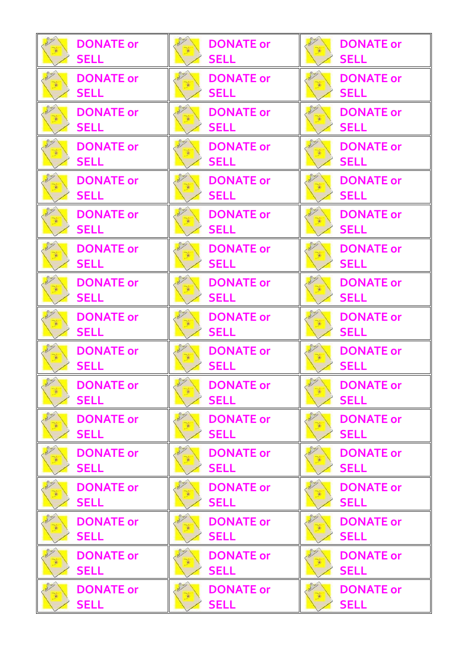| <b>DONATE or</b> | <b>DONATE or</b> | <b>DONATE or</b> |
|------------------|------------------|------------------|
| <b>SELL</b>      | <b>SELL</b>      | <b>SELL</b>      |
| <b>DONATE or</b> | <b>DONATE or</b> | <b>DONATE or</b> |
| <b>SELL</b>      | <b>SELL</b>      | <b>SELL</b>      |
| <b>DONATE or</b> | <b>DONATE or</b> | <b>DONATE or</b> |
| <b>SELL</b>      | <b>SELL</b>      | <b>SELL</b>      |
| <b>DONATE or</b> | <b>DONATE or</b> | <b>DONATE or</b> |
| <b>SELL</b>      | <b>SELL</b>      | <b>SELL</b>      |
| <b>DONATE or</b> | <b>DONATE or</b> | <b>DONATE or</b> |
| <b>SELL</b>      | <b>SELL</b>      | <b>SELL</b>      |
| <b>DONATE or</b> | <b>DONATE or</b> | <b>DONATE or</b> |
| <b>SELL</b>      | <b>SELL</b>      | <b>SELL</b>      |
| <b>DONATE or</b> | <b>DONATE or</b> | <b>DONATE or</b> |
| <b>SELL</b>      | <b>SELL</b>      | <b>SELL</b>      |
| <b>DONATE or</b> | <b>DONATE or</b> | <b>DONATE or</b> |
| <b>SELL</b>      | <b>SELL</b>      | <b>SELL</b>      |
| <b>DONATE or</b> | <b>DONATE or</b> | <b>DONATE or</b> |
| <b>SELL</b>      | <b>SELL</b>      | <b>SELL</b>      |
| <b>DONATE or</b> | <b>DONATE or</b> | <b>DONATE or</b> |
| <b>SELL</b>      | <b>SELL</b>      | <b>SELL</b>      |
| <b>DONATE or</b> | <b>DONATE or</b> | <b>DONATE or</b> |
| <b>SELL</b>      | <b>SELL</b>      | <b>SELL</b>      |
| <b>DONATE or</b> | <b>DONATE or</b> | <b>DONATE or</b> |
| <b>SELL</b>      | <b>SELL</b>      | <b>SELL</b>      |
| <b>DONATE or</b> | <b>DONATE or</b> | <b>DONATE or</b> |
| <b>SELL</b>      | <b>SELL</b>      | <b>SELL</b>      |
| <b>DONATE or</b> | <b>DONATE or</b> | <b>DONATE or</b> |
| <b>SELL</b>      | <b>SELL</b>      | <b>SELL</b>      |
| <b>DONATE or</b> | <b>DONATE or</b> | <b>DONATE or</b> |
| <b>SELL</b>      | <b>SELL</b>      | <b>SELL</b>      |
| <b>DONATE or</b> | <b>DONATE or</b> | <b>DONATE or</b> |
| <b>SELL</b>      | <b>SELL</b>      | <b>SELL</b>      |
| <b>DONATE or</b> | <b>DONATE or</b> | <b>DONATE or</b> |
| <b>SELL</b>      | <b>SELL</b>      | <b>SELL</b>      |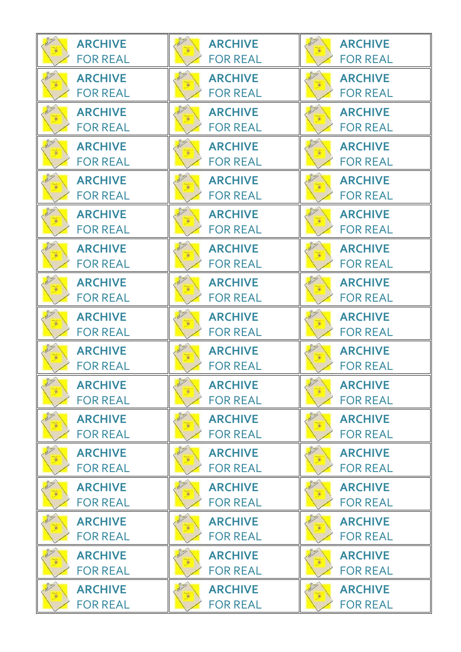| <b>ARCHIVE</b>                    | <b>ARCHIVE</b>                                   | <b>ARCHIVE</b>                    |
|-----------------------------------|--------------------------------------------------|-----------------------------------|
| <b>FOR REAL</b>                   | <b>FOR REAL</b>                                  | <b>FOR REAL</b>                   |
| <b>ARCHIVE</b>                    | <b>ARCHIVE</b>                                   | <b>ARCHIVE</b>                    |
| <b>FOR REAL</b>                   | <b>FOR REAL</b>                                  | <b>FOR REAL</b>                   |
| <b>ARCHIVE</b>                    | <b>ARCHIVE</b>                                   | <b>ARCHIVE</b>                    |
| <b>FOR REAL</b>                   | <b>FOR REAL</b>                                  | <b>FOR REAL</b>                   |
| <b>ARCHIVE</b>                    | <b>ARCHIVE</b>                                   | <b>ARCHIVE</b>                    |
| <b>FOR REAL</b>                   | <b>FOR REAL</b>                                  | <b>FOR REAL</b>                   |
| <b>ARCHIVE</b>                    | <b>ARCHIVE</b>                                   | <b>ARCHIVE</b>                    |
| <b>FOR REAL</b>                   | <b>FOR REAL</b>                                  | <b>FOR REAL</b>                   |
| <b>ARCHIVE</b>                    | <b>ARCHIVE</b>                                   | <b>ARCHIVE</b>                    |
| <b>FOR REAL</b>                   | <b>FOR REAL</b>                                  | <b>FOR REAL</b>                   |
| <b>ARCHIVE</b>                    | <b>ARCHIVE</b>                                   | <b>ARCHIVE</b>                    |
| <b>FOR REAL</b>                   | <b>FOR REAL</b>                                  | <b>FOR REAL</b>                   |
| <b>ARCHIVE</b>                    | <b>ARCHIVE</b>                                   | <b>ARCHIVE</b>                    |
| <b>FOR REAL</b>                   | <b>FOR REAL</b>                                  | <b>FOR REAL</b>                   |
| <b>ARCHIVE</b>                    | <b>ARCHIVE</b>                                   | <b>ARCHIVE</b>                    |
| <b>FOR REAL</b>                   | <b>FOR REAL</b>                                  | <b>FOR REAL</b>                   |
| <b>ARCHIVE</b>                    | <b>ARCHIVE</b>                                   | <b>ARCHIVE</b>                    |
| <b>FOR REAL</b>                   | <b>FOR REAL</b>                                  | <b>FOR REAL</b>                   |
| <b>ARCHIVE</b><br><b>FOR REAL</b> | <b>Puss</b><br><b>ARCHIVE</b><br><b>FOR REAL</b> | <b>ARCHIVE</b><br><b>FOR REAL</b> |
| <b>ARCHIVE</b>                    | <b>ARCHIVE</b>                                   | <b>ARCHIVE</b>                    |
| <b>FOR REAL</b>                   | <b>FOR REAL</b>                                  | <b>FOR REAL</b>                   |
| <b>ARCHIVE</b>                    | <b>ARCHIVE</b>                                   | <b>ARCHIVE</b>                    |
| <b>FOR REAL</b>                   | <b>FOR REAL</b>                                  | <b>FOR REAL</b>                   |
| <b>ARCHIVE</b>                    | <b>ARCHIVE</b>                                   | <b>ARCHIVE</b>                    |
| <b>FOR REAL</b>                   | <b>FOR REAL</b>                                  | <b>FOR REAL</b>                   |
| <b>ARCHIVE</b>                    | <b>ARCHIVE</b>                                   | <b>ARCHIVE</b>                    |
| <b>FOR REAL</b>                   | <b>FOR REAL</b>                                  | <b>FOR REAL</b>                   |
| <b>ARCHIVE</b>                    | <b>ARCHIVE</b>                                   | <b>ARCHIVE</b>                    |
| <b>FOR REAL</b>                   | <b>FOR REAL</b>                                  | <b>FOR REAL</b>                   |
| <b>ARCHIVE</b>                    | <b>ARCHIVE</b>                                   | <b>ARCHIVE</b>                    |
| <b>FOR REAL</b>                   | <b>FOR REAL</b>                                  | <b>FOR REAL</b>                   |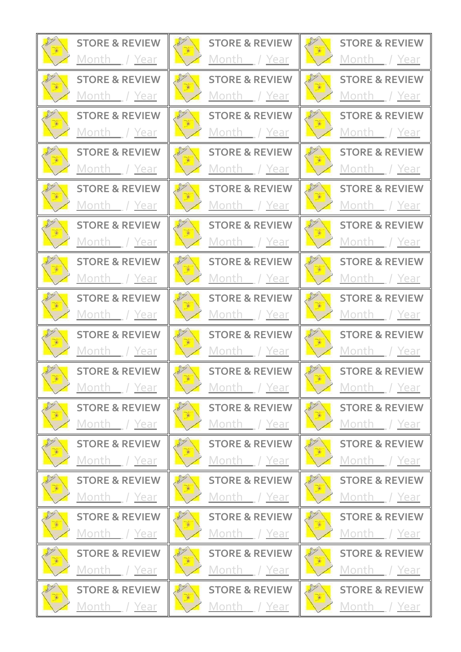